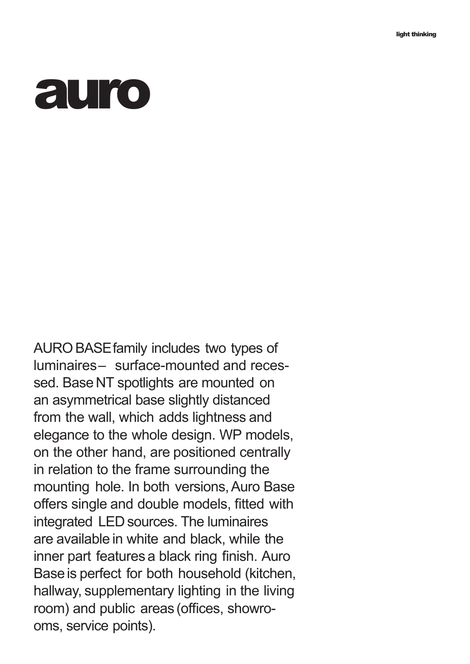## **auro**

AUROBASEfamily includes two types of luminaires– surface-mounted and recessed. Base NT spotlights are mounted on an asymmetrical base slightly distanced from the wall, which adds lightness and elegance to the whole design. WP models, on the other hand, are positioned centrally in relation to the frame surrounding the mounting hole. In both versions, Auro Base offers single and double models, fitted with integrated LED sources. The luminaires are available in white and black, while the inner part features a black ring finish. Auro Baseis perfect for both household (kitchen, hallway, supplementary lighting in the living room) and public areas (offices, showrooms, service points).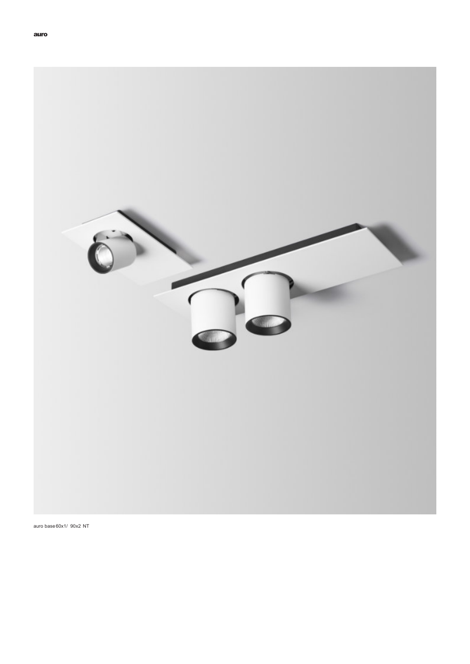

auro base 60x1/ 90x2 NT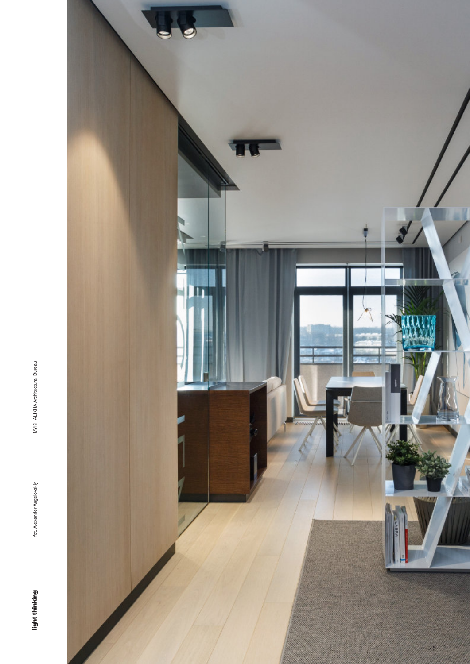

fot. Alexander Angelovskiy

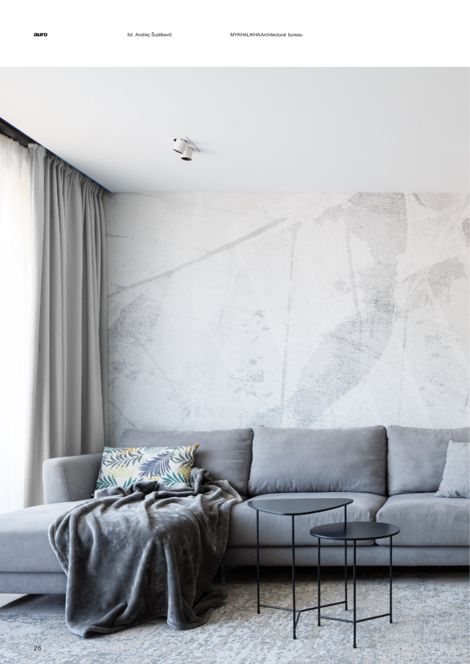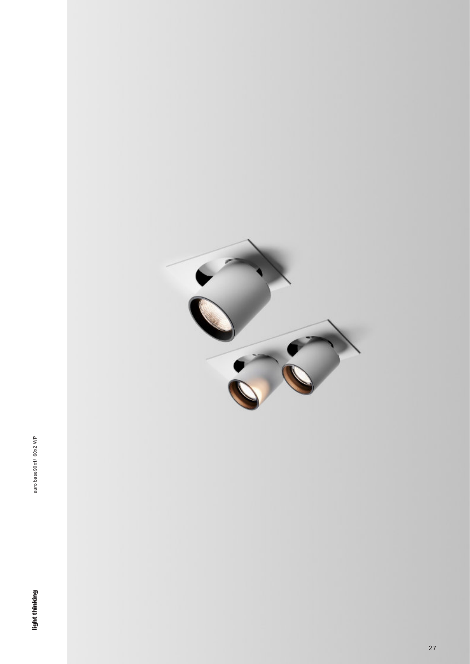

auro base 90x1/ 60x2 WP



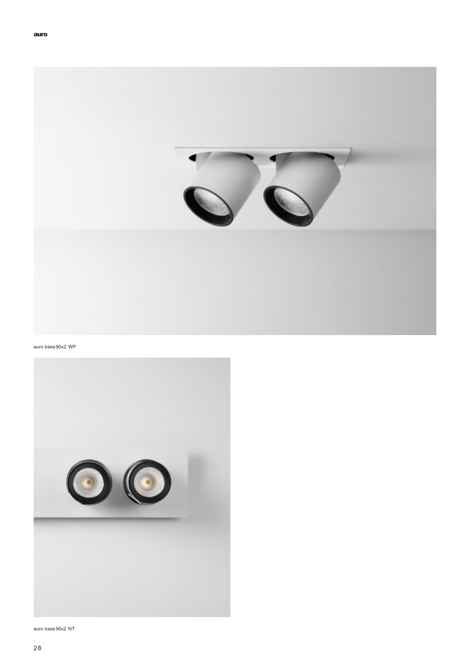

## auro base 90x2 WP



auro base 90x2 NT